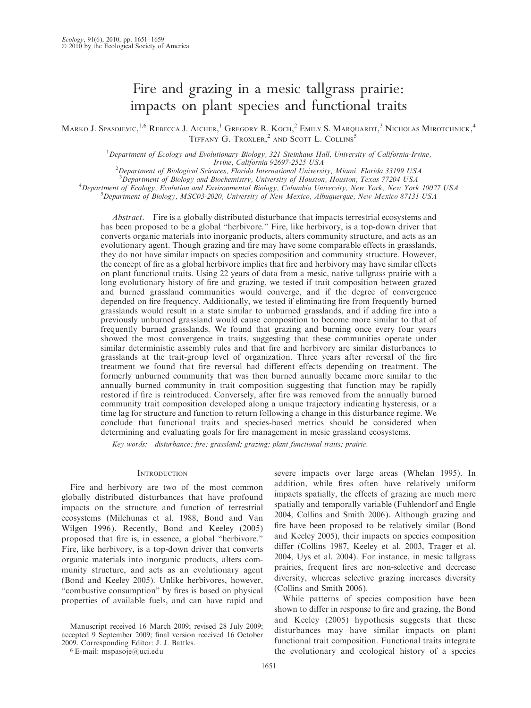# Fire and grazing in a mesic tallgrass prairie: impacts on plant species and functional traits

Marko J. Spasojevic, <sup>1,6</sup> Rebecca J. Aicher, <sup>1</sup> Gregory R. Koch, <sup>2</sup> Emily S. Marquardt, <sup>3</sup> Nicholas Mirotchnick, <sup>4</sup> TIFFANY G. TROXLER,<sup>2</sup> AND SCOTT L. COLLINS<sup>5</sup>

<sup>1</sup>Department of Ecology and Evolutionary Biology, 321 Steinhaus Hall, University of California-Irvine,

Irvine, California 92697-2525 USA<br>2 Department of Biological Sciences, Florida International University, Miami, Florida 33199 USA <sup>3</sup>Department of Biology and Biochemistry, University of Houston, Houston, Texas 77204 USA<br><sup>4</sup>Department of Ecology, Evolution and Environmental Biology, Columbia University, New York, New York <sup>4</sup>Department of Ecology, Evolution and Environmental Biology, Columbia University, New York, New York 10027 USA  $\delta$ Department of Biology, MSC03-2020, University of New Mexico, Albuquerque, New Mexico 87131 USA

Abstract. Fire is a globally distributed disturbance that impacts terrestrial ecosystems and has been proposed to be a global ''herbivore.'' Fire, like herbivory, is a top-down driver that converts organic materials into inorganic products, alters community structure, and acts as an evolutionary agent. Though grazing and fire may have some comparable effects in grasslands, they do not have similar impacts on species composition and community structure. However, the concept of fire as a global herbivore implies that fire and herbivory may have similar effects on plant functional traits. Using 22 years of data from a mesic, native tallgrass prairie with a long evolutionary history of fire and grazing, we tested if trait composition between grazed and burned grassland communities would converge, and if the degree of convergence depended on fire frequency. Additionally, we tested if eliminating fire from frequently burned grasslands would result in a state similar to unburned grasslands, and if adding fire into a previously unburned grassland would cause composition to become more similar to that of frequently burned grasslands. We found that grazing and burning once every four years showed the most convergence in traits, suggesting that these communities operate under similar deterministic assembly rules and that fire and herbivory are similar disturbances to grasslands at the trait-group level of organization. Three years after reversal of the fire treatment we found that fire reversal had different effects depending on treatment. The formerly unburned community that was then burned annually became more similar to the annually burned community in trait composition suggesting that function may be rapidly restored if fire is reintroduced. Conversely, after fire was removed from the annually burned community trait composition developed along a unique trajectory indicating hysteresis, or a time lag for structure and function to return following a change in this disturbance regime. We conclude that functional traits and species-based metrics should be considered when determining and evaluating goals for fire management in mesic grassland ecosystems.

Key words: disturbance; fire; grassland; grazing; plant functional traits; prairie.

# **INTRODUCTION**

Fire and herbivory are two of the most common globally distributed disturbances that have profound impacts on the structure and function of terrestrial ecosystems (Milchunas et al. 1988, Bond and Van Wilgen 1996). Recently, Bond and Keeley (2005) proposed that fire is, in essence, a global ''herbivore.'' Fire, like herbivory, is a top-down driver that converts organic materials into inorganic products, alters community structure, and acts as an evolutionary agent (Bond and Keeley 2005). Unlike herbivores, however, "combustive consumption" by fires is based on physical properties of available fuels, and can have rapid and

Manuscript received 16 March 2009; revised 28 July 2009; accepted 9 September 2009; final version received 16 October 2009. Corresponding Editor: J. J. Battles.

<sup>6</sup> E-mail: mspasoje@uci.edu

severe impacts over large areas (Whelan 1995). In addition, while fires often have relatively uniform impacts spatially, the effects of grazing are much more spatially and temporally variable (Fuhlendorf and Engle 2004, Collins and Smith 2006). Although grazing and fire have been proposed to be relatively similar (Bond and Keeley 2005), their impacts on species composition differ (Collins 1987, Keeley et al. 2003, Trager et al. 2004, Uys et al. 2004). For instance, in mesic tallgrass prairies, frequent fires are non-selective and decrease diversity, whereas selective grazing increases diversity (Collins and Smith 2006).

While patterns of species composition have been shown to differ in response to fire and grazing, the Bond and Keeley (2005) hypothesis suggests that these disturbances may have similar impacts on plant functional trait composition. Functional traits integrate the evolutionary and ecological history of a species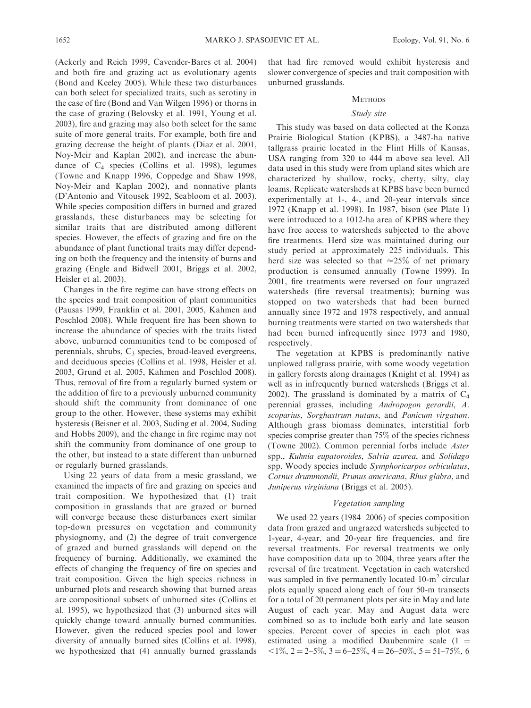(Ackerly and Reich 1999, Cavender-Bares et al. 2004) and both fire and grazing act as evolutionary agents (Bond and Keeley 2005). While these two disturbances can both select for specialized traits, such as serotiny in the case of fire (Bond and Van Wilgen 1996) or thorns in the case of grazing (Belovsky et al. 1991, Young et al. 2003), fire and grazing may also both select for the same suite of more general traits. For example, both fire and grazing decrease the height of plants (Diaz et al. 2001, Noy-Meir and Kaplan 2002), and increase the abundance of  $C_4$  species (Collins et al. 1998), legumes (Towne and Knapp 1996, Coppedge and Shaw 1998, Noy-Meir and Kaplan 2002), and nonnative plants (D'Antonio and Vitousek 1992, Seabloom et al. 2003). While species composition differs in burned and grazed grasslands, these disturbances may be selecting for similar traits that are distributed among different species. However, the effects of grazing and fire on the abundance of plant functional traits may differ depending on both the frequency and the intensity of burns and grazing (Engle and Bidwell 2001, Briggs et al. 2002, Heisler et al. 2003).

Changes in the fire regime can have strong effects on the species and trait composition of plant communities (Pausas 1999, Franklin et al. 2001, 2005, Kahmen and Poschlod 2008). While frequent fire has been shown to increase the abundance of species with the traits listed above, unburned communities tend to be composed of perennials, shrubs,  $C_3$  species, broad-leaved evergreens, and deciduous species (Collins et al. 1998, Heisler et al. 2003, Grund et al. 2005, Kahmen and Poschlod 2008). Thus, removal of fire from a regularly burned system or the addition of fire to a previously unburned community should shift the community from dominance of one group to the other. However, these systems may exhibit hysteresis (Beisner et al. 2003, Suding et al. 2004, Suding and Hobbs 2009), and the change in fire regime may not shift the community from dominance of one group to the other, but instead to a state different than unburned or regularly burned grasslands.

Using 22 years of data from a mesic grassland, we examined the impacts of fire and grazing on species and trait composition. We hypothesized that (1) trait composition in grasslands that are grazed or burned will converge because these disturbances exert similar top-down pressures on vegetation and community physiognomy, and (2) the degree of trait convergence of grazed and burned grasslands will depend on the frequency of burning. Additionally, we examined the effects of changing the frequency of fire on species and trait composition. Given the high species richness in unburned plots and research showing that burned areas are compositional subsets of unburned sites (Collins et al. 1995), we hypothesized that (3) unburned sites will quickly change toward annually burned communities. However, given the reduced species pool and lower diversity of annually burned sites (Collins et al. 1998), we hypothesized that (4) annually burned grasslands

that had fire removed would exhibit hysteresis and slower convergence of species and trait composition with unburned grasslands.

#### **METHODS**

### Study site

This study was based on data collected at the Konza Prairie Biological Station (KPBS), a 3487-ha native tallgrass prairie located in the Flint Hills of Kansas, USA ranging from 320 to 444 m above sea level. All data used in this study were from upland sites which are characterized by shallow, rocky, cherty, silty, clay loams. Replicate watersheds at KPBS have been burned experimentally at 1-, 4-, and 20-year intervals since 1972 (Knapp et al. 1998). In 1987, bison (see Plate 1) were introduced to a 1012-ha area of KPBS where they have free access to watersheds subjected to the above fire treatments. Herd size was maintained during our study period at approximately 225 individuals. This herd size was selected so that  $\approx 25\%$  of net primary production is consumed annually (Towne 1999). In 2001, fire treatments were reversed on four ungrazed watersheds (fire reversal treatments); burning was stopped on two watersheds that had been burned annually since 1972 and 1978 respectively, and annual burning treatments were started on two watersheds that had been burned infrequently since 1973 and 1980, respectively.

The vegetation at KPBS is predominantly native unplowed tallgrass prairie, with some woody vegetation in gallery forests along drainages (Knight et al. 1994) as well as in infrequently burned watersheds (Briggs et al. 2002). The grassland is dominated by a matrix of  $C_4$ perennial grasses, including Andropogon gerardii, A. scoparius, Sorghastrum nutans, and Panicum virgatum. Although grass biomass dominates, interstitial forb species comprise greater than 75% of the species richness (Towne 2002). Common perennial forbs include Aster spp., Kuhnia eupatoroides, Salvia azurea, and Solidago spp. Woody species include Symphoricarpos orbiculatus, Cornus drummondii, Prunus americana, Rhus glabra, and Juniperus virginiana (Briggs et al. 2005).

### Vegetation sampling

We used 22 years (1984–2006) of species composition data from grazed and ungrazed watersheds subjected to 1-year, 4-year, and 20-year fire frequencies, and fire reversal treatments. For reversal treatments we only have composition data up to 2004, three years after the reversal of fire treatment. Vegetation in each watershed was sampled in five permanently located  $10-m^2$  circular plots equally spaced along each of four 50-m transects for a total of 20 permanent plots per site in May and late August of each year. May and August data were combined so as to include both early and late season species. Percent cover of species in each plot was estimated using a modified Daubenmire scale  $(1 =$  $\langle1\%, 2 = 2\text{-}5\%, 3 = 6\text{-}25\%, 4 = 26\text{-}50\%, 5 = 51\text{-}75\%, 6$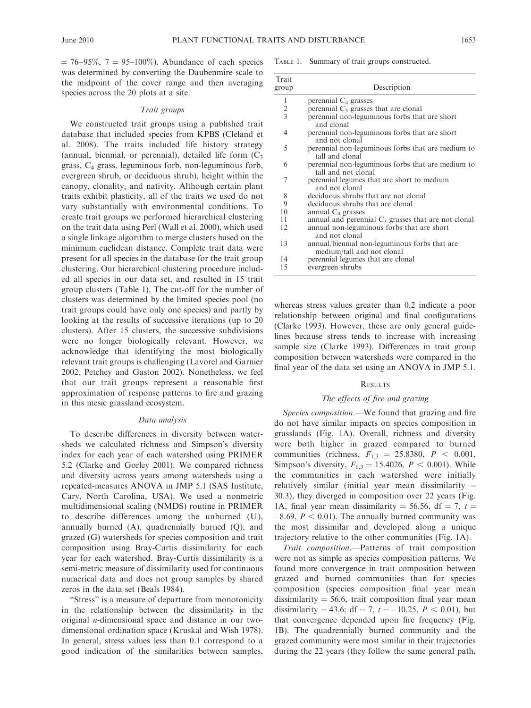$= 76-95\%, 7 = 95-100\%$ . Abundance of each species was determined by converting the Daubenmire scale to the midpoint of the cover range and then averaging species across the 20 plots at a site.

# Trait groups

We constructed trait groups using a published trait database that included species from KPBS (Cleland et al. 2008). The traits included life history strategy (annual, biennial, or perennial), detailed life form  $(C_3)$ grass, C4 grass, leguminous forb, non-leguminous forb, evergreen shrub, or deciduous shrub), height within the canopy, clonality, and nativity. Although certain plant traits exhibit plasticity, all of the traits we used do not vary substantially with environmental conditions. To create trait groups we performed hierarchical clustering on the trait data using Perl (Wall et al. 2000), which used a single linkage algorithm to merge clusters based on the minimum euclidean distance. Complete trait data were present for all species in the database for the trait group clustering. Our hierarchical clustering procedure included all species in our data set, and resulted in 15 trait group clusters (Table 1). The cut-off for the number of clusters was determined by the limited species pool (no trait groups could have only one species) and partly by looking at the results of successive iterations (up to 20 clusters). After 15 clusters, the successive subdivisions were no longer biologically relevant. However, we acknowledge that identifying the most biologically relevant trait groups is challenging (Lavorel and Garnier 2002, Petchey and Gaston 2002). Nonetheless, we feel that our trait groups represent a reasonable first approximation of response patterns to fire and grazing in this mesic grassland ecosystem.

#### Data analysis

To describe differences in diversity between watersheds we calculated richness and Simpson's diversity index for each year of each watershed using PRIMER 5.2 (Clarke and Gorley 2001). We compared richness and diversity across years among watersheds using a repeated-measures ANOVA in JMP 5.1 (SAS Institute, Cary, North Carolina, USA). We used a nonmetric multidimensional scaling (NMDS) routine in PRIMER to describe differences among the unburned  $(U)$ , annually burned (A), quadrennially burned (Q), and grazed (G) watersheds for species composition and trait composition using Bray-Curtis dissimilarity for each year for each watershed. Bray-Curtis dissimilarity is a semi-metric measure of dissimilarity used for continuous numerical data and does not group samples by shared zeros in the data set (Beals 1984).

"Stress" is a measure of departure from monotonicity in the relationship between the dissimilarity in the original n-dimensional space and distance in our twodimensional ordination space (Kruskal and Wish 1978). In general, stress values less than 0.1 correspond to a good indication of the similarities between samples,

TABLE 1. Summary of trait groups constructed.

| Trait         |                                                                             |
|---------------|-----------------------------------------------------------------------------|
| group         | Description                                                                 |
| 1             | perennial $C_4$ grasses                                                     |
| $\frac{2}{3}$ | perennial $C_3$ grasses that are clonal                                     |
|               | perennial non-leguminous forbs that are short<br>and clonal                 |
| 4             | perennial non-leguminous forbs that are short<br>and not clonal             |
| 5             | perennial non-leguminous forbs that are medium to<br>tall and clonal        |
| 6             | perennial non-leguminous forbs that are medium to<br>tall and not clonal    |
| 7             | perennial legumes that are short to medium<br>and not clonal                |
| 8             | deciduous shrubs that are not clonal                                        |
| 9             | deciduous shrubs that are clonal                                            |
| 10            | annual $C_4$ grasses                                                        |
| 11            | annual and perennial $C_3$ grasses that are not clonal                      |
| 12            | annual non-leguminous forbs that are short<br>and not clonal                |
| 13            | annual/biennial non-leguminous forbs that are<br>medium/tall and not clonal |
| 14            | perennial legumes that are clonal                                           |
| 15            | evergreen shrubs                                                            |

whereas stress values greater than 0.2 indicate a poor relationship between original and final configurations (Clarke 1993). However, these are only general guidelines because stress tends to increase with increasing sample size (Clarke 1993). Differences in trait group composition between watersheds were compared in the final year of the data set using an ANOVA in JMP 5.1.

### **RESULTS**

# The effects of fire and grazing

Species composition.—We found that grazing and fire do not have similar impacts on species composition in grasslands (Fig. 1A). Overall, richness and diversity were both higher in grazed compared to burned communities (richness,  $F_{1,3} = 25.8380, P < 0.001,$ Simpson's diversity,  $F_{1,3} = 15.4026$ ,  $P < 0.001$ ). While the communities in each watershed were initially relatively similar (initial year mean dissimilarity  $=$ 30.3), they diverged in composition over 22 years (Fig. 1A, final year mean dissimilarity = 56.56, df = 7,  $t =$  $-8.69$ ,  $P < 0.01$ ). The annually burned community was the most dissimilar and developed along a unique trajectory relative to the other communities (Fig. 1A).

Trait composition.—Patterns of trait composition were not as simple as species composition patterns. We found more convergence in trait composition between grazed and burned communities than for species composition (species composition final year mean dissimilarity  $= 56.6$ , trait composition final year mean dissimilarity = 43.6; df = 7,  $t = -10.25$ ,  $P < 0.01$ ), but that convergence depended upon fire frequency (Fig. 1B). The quadrennially burned community and the grazed community were most similar in their trajectories during the 22 years (they follow the same general path,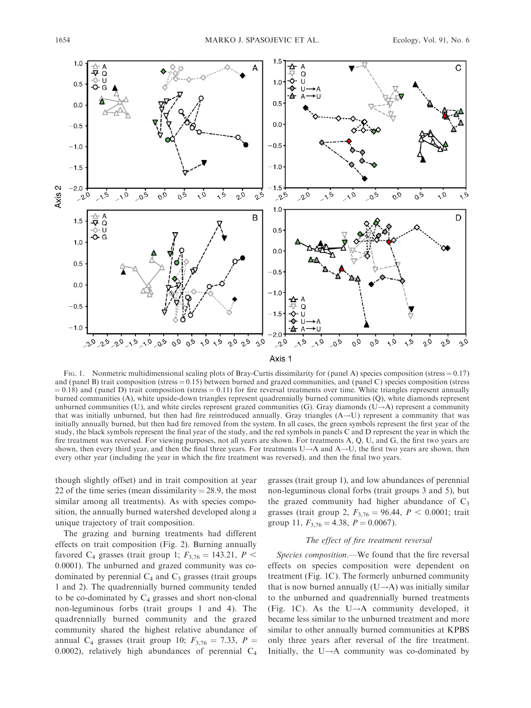

FIG. 1. Nonmetric multidimensional scaling plots of Bray-Curtis dissimilarity for (panel A) species composition (stress  $= 0.17$ ) and (panel B) trait composition (stress  $= 0.15$ ) between burned and grazed communities, and (panel C) species composition (stress  $(0.18)$  and (panel D) trait composition (stress  $(0.11)$  for fire reversal treatments over time. White triangles represent annually burned communities (A), white upside-down triangles represent quadrennially burned communities (Q), white diamonds represent unburned communities (U), and white circles represent grazed communities (G). Gray diamonds (U $\rightarrow$ A) represent a community that was initially unburned, but then had fire reintroduced annually. Gray triangles  $(A \rightarrow U)$  represent a community that was initially annually burned, but then had fire removed from the system. In all cases, the green symbols represent the first year of the study, the black symbols represent the final year of the study, and the red symbols in panels C and D represent the year in which the fire treatment was reversed. For viewing purposes, not all years are shown. For treatments A, Q, U, and G, the first two years are shown, then every third year, and then the final three years. For treatments  $U \rightarrow A$  and  $A \rightarrow U$ , the first two years are shown, then every other year (including the year in which the fire treatment was reversed), and then the final two years.

though slightly offset) and in trait composition at year 22 of the time series (mean dissimilarity  $=$  28.9, the most similar among all treatments). As with species composition, the annually burned watershed developed along a unique trajectory of trait composition.

The grazing and burning treatments had different effects on trait composition (Fig. 2). Burning annually favored C<sub>4</sub> grasses (trait group 1;  $F_{3,76} = 143.21$ ,  $P <$ 0.0001). The unburned and grazed community was codominated by perennial  $C_4$  and  $C_3$  grasses (trait groups 1 and 2). The quadrennially burned community tended to be co-dominated by  $C_4$  grasses and short non-clonal non-leguminous forbs (trait groups 1 and 4). The quadrennially burned community and the grazed community shared the highest relative abundance of annual C<sub>4</sub> grasses (trait group 10;  $F_{3,76} = 7.33$ ,  $P =$ 0.0002), relatively high abundances of perennial  $C_4$ 

grasses (trait group 1), and low abundances of perennial non-leguminous clonal forbs (trait groups 3 and 5), but the grazed community had higher abundance of  $C_3$ grasses (trait group 2,  $F_{3,76} = 96.44$ ,  $P < 0.0001$ ; trait group 11,  $F_{3,76} = 4.38$ ,  $P = 0.0067$ ).

# The effect of fire treatment reversal

Species composition.—We found that the fire reversal effects on species composition were dependent on treatment (Fig. 1C). The formerly unburned community that is now burned annually  $(U \rightarrow A)$  was initially similar to the unburned and quadrennially burned treatments (Fig. 1C). As the U $\rightarrow$ A community developed, it became less similar to the unburned treatment and more similar to other annually burned communities at KPBS only three years after reversal of the fire treatment. Initially, the  $U \rightarrow A$  community was co-dominated by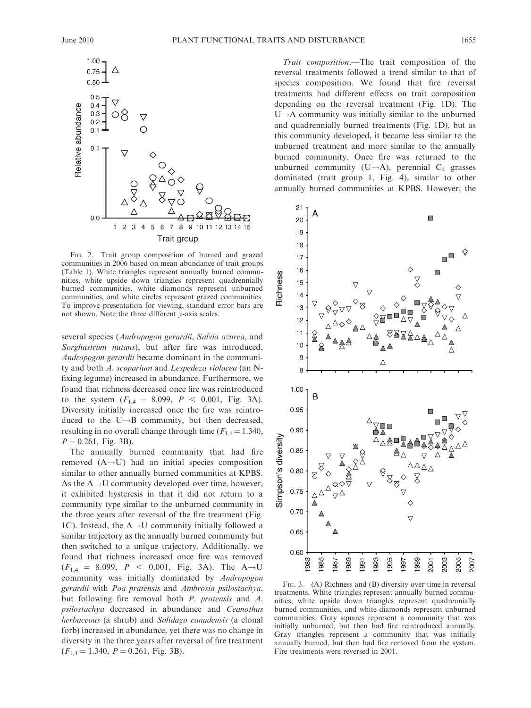

FIG. 2. Trait group composition of burned and grazed communities in 2006 based on mean abundance of trait groups (Table 1). White triangles represent annually burned communities, white upside down triangles represent quadrennially burned communities, white diamonds represent unburned communities, and white circles represent grazed communities. To improve presentation for viewing, standard error bars are not shown. Note the three different y-axis scales.

several species (Andropogon gerardii, Salvia azurea, and Sorghastrum nutans), but after fire was introduced, Andropogon gerardii became dominant in the community and both A. scoparium and Lespedeza violacea (an Nfixing legume) increased in abundance. Furthermore, we found that richness decreased once fire was reintroduced to the system  $(F_{1,4} = 8.099, P < 0.001,$  Fig. 3A). Diversity initially increased once the fire was reintroduced to the  $U \rightarrow B$  community, but then decreased, resulting in no overall change through time ( $F_{1,4} = 1.340$ ,  $P = 0.261$ , Fig. 3B).

The annually burned community that had fire removed  $(A \rightarrow U)$  had an initial species composition similar to other annually burned communities at KPBS. As the  $A \rightarrow U$  community developed over time, however, it exhibited hysteresis in that it did not return to a community type similar to the unburned community in the three years after reversal of the fire treatment (Fig. 1C). Instead, the  $A \rightarrow U$  community initially followed a similar trajectory as the annually burned community but then switched to a unique trajectory. Additionally, we found that richness increased once fire was removed  $(F_{1,4} = 8.099, P < 0.001, Fig. 3A)$ . The A - U community was initially dominated by Andropogon gerardii with Poa pratensis and Ambrosia psilostachya, but following fire removal both P. pratensis and A. psilostachya decreased in abundance and Ceanothus herbaceous (a shrub) and Solidago canadensis (a clonal forb) increased in abundance, yet there was no change in diversity in the three years after reversal of fire treatment  $(F<sub>1,4</sub> = 1.340, P = 0.261, Fig. 3B).$ 

Trait composition.—The trait composition of the reversal treatments followed a trend similar to that of species composition. We found that fire reversal treatments had different effects on trait composition depending on the reversal treatment (Fig. 1D). The  $U \rightarrow A$  community was initially similar to the unburned and quadrennially burned treatments (Fig. 1D), but as this community developed, it became less similar to the unburned treatment and more similar to the annually burned community. Once fire was returned to the unburned community (U $\rightarrow$ A), perennial C<sub>4</sub> grasses dominated (trait group 1, Fig. 4), similar to other annually burned communities at KPBS. However, the



FIG. 3. (A) Richness and (B) diversity over time in reversal treatments. White triangles represent annually burned communities, white upside down triangles represent quadrennially burned communities, and white diamonds represent unburned communities. Gray squares represent a community that was initially unburned, but then had fire reintroduced annually. Gray triangles represent a community that was initially annually burned, but then had fire removed from the system. Fire treatments were reversed in 2001.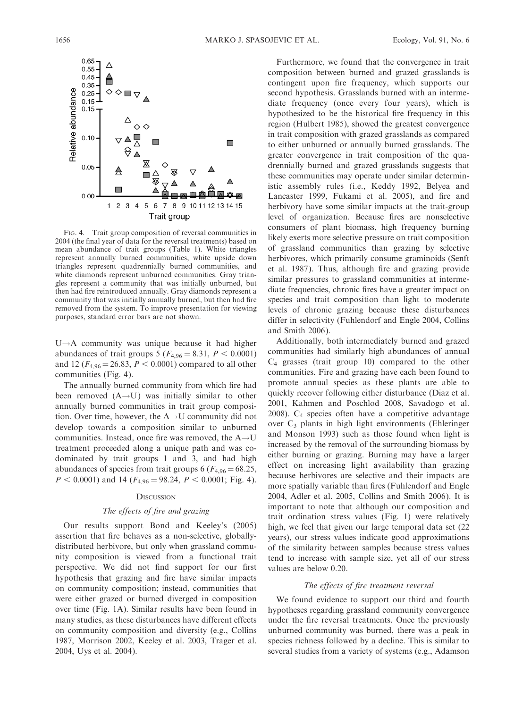

FIG. 4. Trait group composition of reversal communities in 2004 (the final year of data for the reversal treatments) based on mean abundance of trait groups (Table 1). White triangles represent annually burned communities, white upside down triangles represent quadrennially burned communities, and white diamonds represent unburned communities. Gray triangles represent a community that was initially unburned, but then had fire reintroduced annually. Gray diamonds represent a community that was initially annually burned, but then had fire removed from the system. To improve presentation for viewing purposes, standard error bars are not shown.

 $U \rightarrow A$  community was unique because it had higher abundances of trait groups 5 ( $F_{4,96} = 8.31, P < 0.0001$ ) and 12 ( $F_{4,96} = 26.83$ ,  $P < 0.0001$ ) compared to all other communities (Fig. 4).

The annually burned community from which fire had been removed  $(A \rightarrow U)$  was initially similar to other annually burned communities in trait group composition. Over time, however, the  $A \rightarrow U$  community did not develop towards a composition similar to unburned communities. Instead, once fire was removed, the  $A \rightarrow U$ treatment proceeded along a unique path and was codominated by trait groups 1 and 3, and had high abundances of species from trait groups 6 ( $F_{4,96} = 68.25$ ,  $P < 0.0001$ ) and 14 ( $F_{4.96} = 98.24$ ,  $P < 0.0001$ ; Fig. 4).

### **DISCUSSION**

### The effects of fire and grazing

Our results support Bond and Keeley's (2005) assertion that fire behaves as a non-selective, globallydistributed herbivore, but only when grassland community composition is viewed from a functional trait perspective. We did not find support for our first hypothesis that grazing and fire have similar impacts on community composition; instead, communities that were either grazed or burned diverged in composition over time (Fig. 1A). Similar results have been found in many studies, as these disturbances have different effects on community composition and diversity (e.g., Collins 1987, Morrison 2002, Keeley et al. 2003, Trager et al. 2004, Uys et al. 2004).

Furthermore, we found that the convergence in trait composition between burned and grazed grasslands is contingent upon fire frequency, which supports our second hypothesis. Grasslands burned with an intermediate frequency (once every four years), which is hypothesized to be the historical fire frequency in this region (Hulbert 1985), showed the greatest convergence in trait composition with grazed grasslands as compared to either unburned or annually burned grasslands. The greater convergence in trait composition of the quadrennially burned and grazed grasslands suggests that these communities may operate under similar deterministic assembly rules (i.e., Keddy 1992, Belyea and Lancaster 1999, Fukami et al. 2005), and fire and herbivory have some similar impacts at the trait-group level of organization. Because fires are nonselective consumers of plant biomass, high frequency burning likely exerts more selective pressure on trait composition of grassland communities than grazing by selective herbivores, which primarily consume graminoids (Senft et al. 1987). Thus, although fire and grazing provide similar pressures to grassland communities at intermediate frequencies, chronic fires have a greater impact on species and trait composition than light to moderate levels of chronic grazing because these disturbances differ in selectivity (Fuhlendorf and Engle 2004, Collins and Smith 2006).

Additionally, both intermediately burned and grazed communities had similarly high abundances of annual C4 grasses (trait group 10) compared to the other communities. Fire and grazing have each been found to promote annual species as these plants are able to quickly recover following either disturbance (Diaz et al. 2001, Kahmen and Poschlod 2008, Savadogo et al. 2008).  $C_4$  species often have a competitive advantage over  $C_3$  plants in high light environments (Ehleringer and Monson 1993) such as those found when light is increased by the removal of the surrounding biomass by either burning or grazing. Burning may have a larger effect on increasing light availability than grazing because herbivores are selective and their impacts are more spatially variable than fires (Fuhlendorf and Engle 2004, Adler et al. 2005, Collins and Smith 2006). It is important to note that although our composition and trait ordination stress values (Fig. 1) were relatively high, we feel that given our large temporal data set (22 years), our stress values indicate good approximations of the similarity between samples because stress values tend to increase with sample size, yet all of our stress values are below 0.20.

# The effects of fire treatment reversal

We found evidence to support our third and fourth hypotheses regarding grassland community convergence under the fire reversal treatments. Once the previously unburned community was burned, there was a peak in species richness followed by a decline. This is similar to several studies from a variety of systems (e.g., Adamson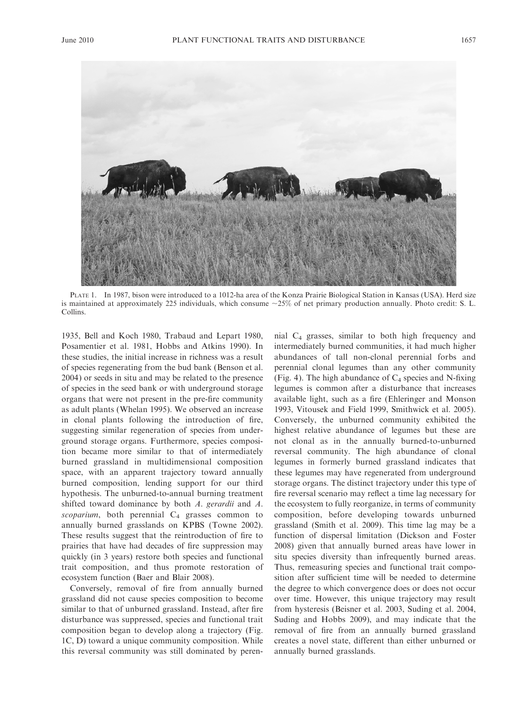

PLATE 1. In 1987, bison were introduced to a 1012-ha area of the Konza Prairie Biological Station in Kansas (USA). Herd size is maintained at approximately 225 individuals, which consume  $\sim$  25% of net primary production annually. Photo credit: S. L. Collins.

1935, Bell and Koch 1980, Trabaud and Lepart 1980, Posamentier et al. 1981, Hobbs and Atkins 1990). In these studies, the initial increase in richness was a result of species regenerating from the bud bank (Benson et al. 2004) or seeds in situ and may be related to the presence of species in the seed bank or with underground storage organs that were not present in the pre-fire community as adult plants (Whelan 1995). We observed an increase in clonal plants following the introduction of fire, suggesting similar regeneration of species from underground storage organs. Furthermore, species composition became more similar to that of intermediately burned grassland in multidimensional composition space, with an apparent trajectory toward annually burned composition, lending support for our third hypothesis. The unburned-to-annual burning treatment shifted toward dominance by both A. gerardii and A. scoparium, both perennial  $C_4$  grasses common to annually burned grasslands on KPBS (Towne 2002). These results suggest that the reintroduction of fire to prairies that have had decades of fire suppression may quickly (in 3 years) restore both species and functional trait composition, and thus promote restoration of ecosystem function (Baer and Blair 2008).

Conversely, removal of fire from annually burned grassland did not cause species composition to become similar to that of unburned grassland. Instead, after fire disturbance was suppressed, species and functional trait composition began to develop along a trajectory (Fig. 1C, D) toward a unique community composition. While this reversal community was still dominated by perennial C4 grasses, similar to both high frequency and intermediately burned communities, it had much higher abundances of tall non-clonal perennial forbs and perennial clonal legumes than any other community (Fig. 4). The high abundance of  $C_4$  species and N-fixing legumes is common after a disturbance that increases available light, such as a fire (Ehleringer and Monson 1993, Vitousek and Field 1999, Smithwick et al. 2005). Conversely, the unburned community exhibited the highest relative abundance of legumes but these are not clonal as in the annually burned-to-unburned reversal community. The high abundance of clonal legumes in formerly burned grassland indicates that these legumes may have regenerated from underground storage organs. The distinct trajectory under this type of fire reversal scenario may reflect a time lag necessary for the ecosystem to fully reorganize, in terms of community composition, before developing towards unburned grassland (Smith et al. 2009). This time lag may be a function of dispersal limitation (Dickson and Foster 2008) given that annually burned areas have lower in situ species diversity than infrequently burned areas. Thus, remeasuring species and functional trait composition after sufficient time will be needed to determine the degree to which convergence does or does not occur over time. However, this unique trajectory may result from hysteresis (Beisner et al. 2003, Suding et al. 2004, Suding and Hobbs 2009), and may indicate that the removal of fire from an annually burned grassland creates a novel state, different than either unburned or annually burned grasslands.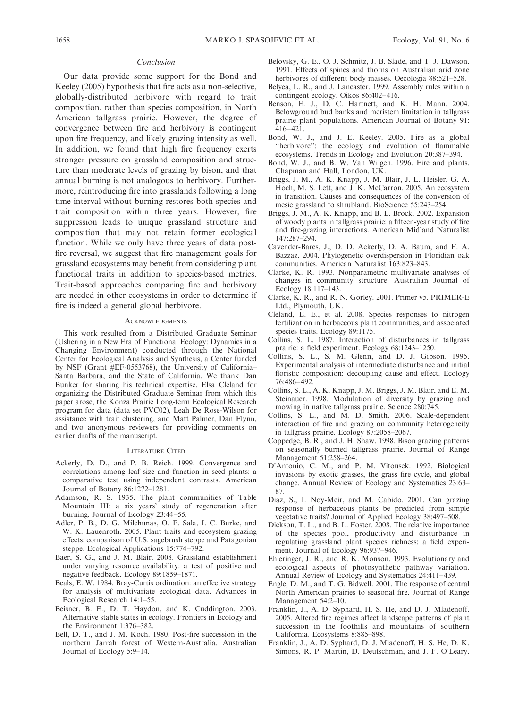# Conclusion

Our data provide some support for the Bond and Keeley (2005) hypothesis that fire acts as a non-selective, globally-distributed herbivore with regard to trait composition, rather than species composition, in North American tallgrass prairie. However, the degree of convergence between fire and herbivory is contingent upon fire frequency, and likely grazing intensity as well. In addition, we found that high fire frequency exerts stronger pressure on grassland composition and structure than moderate levels of grazing by bison, and that annual burning is not analogous to herbivory. Furthermore, reintroducing fire into grasslands following a long time interval without burning restores both species and trait composition within three years. However, fire suppression leads to unique grassland structure and composition that may not retain former ecological function. While we only have three years of data postfire reversal, we suggest that fire management goals for grassland ecosystems may benefit from considering plant functional traits in addition to species-based metrics. Trait-based approaches comparing fire and herbivory are needed in other ecosystems in order to determine if fire is indeed a general global herbivore.

## **ACKNOWLEDGMENTS**

This work resulted from a Distributed Graduate Seminar (Ushering in a New Era of Functional Ecology: Dynamics in a Changing Environment) conducted through the National Center for Ecological Analysis and Synthesis, a Center funded by NSF (Grant #EF-0553768), the University of California– Santa Barbara, and the State of California. We thank Dan Bunker for sharing his technical expertise, Elsa Cleland for organizing the Distributed Graduate Seminar from which this paper arose, the Konza Prairie Long-term Ecological Research program for data (data set PVC02), Leah De Rose-Wilson for assistance with trait clustering, and Matt Palmer, Dan Flynn, and two anonymous reviewers for providing comments on earlier drafts of the manuscript.

### LITERATURE CITED

- Ackerly, D. D., and P. B. Reich. 1999. Convergence and correlations among leaf size and function in seed plants: a comparative test using independent contrasts. American Journal of Botany 86:1272–1281.
- Adamson, R. S. 1935. The plant communities of Table Mountain III: a six years' study of regeneration after burning. Journal of Ecology 23:44–55.
- Adler, P. B., D. G. Milchunas, O. E. Sala, I. C. Burke, and W. K. Lauenroth. 2005. Plant traits and ecosystem grazing effects: comparison of U.S. sagebrush steppe and Patagonian steppe. Ecological Applications 15:774–792.
- Baer, S. G., and J. M. Blair. 2008. Grassland establishment under varying resource availability: a test of positive and negative feedback. Ecology 89:1859–1871.
- Beals, E. W. 1984. Bray-Curtis ordination: an effective strategy for analysis of multivariate ecological data. Advances in Ecological Research 14:1–55.
- Beisner, B. E., D. T. Haydon, and K. Cuddington. 2003. Alternative stable states in ecology. Frontiers in Ecology and the Environment 1:376–382.
- Bell, D. T., and J. M. Koch. 1980. Post-fire succession in the northern Jarrah forest of Western-Australia. Australian Journal of Ecology 5:9–14.
- Belovsky, G. E., O. J. Schmitz, J. B. Slade, and T. J. Dawson. 1991. Effects of spines and thorns on Australian arid zone herbivores of different body masses. Oecologia 88:521-528.
- Belyea, L. R., and J. Lancaster. 1999. Assembly rules within a contingent ecology. Oikos 86:402–416.
- Benson, E. J., D. C. Hartnett, and K. H. Mann. 2004. Belowground bud banks and meristem limitation in tallgrass prairie plant populations. American Journal of Botany 91: 416–421.
- Bond, W. J., and J. E. Keeley. 2005. Fire as a global "herbivore": the ecology and evolution of flammable ecosystems. Trends in Ecology and Evolution 20:387–394.
- Bond, W. J., and B. W. Van Wilgen. 1996. Fire and plants. Chapman and Hall, London, UK.
- Briggs, J. M., A. K. Knapp, J. M. Blair, J. L. Heisler, G. A. Hoch, M. S. Lett, and J. K. McCarron. 2005. An ecosystem in transition. Causes and consequences of the conversion of mesic grassland to shrubland. BioScience 55:243–254.
- Briggs, J. M., A. K. Knapp, and B. L. Brock. 2002. Expansion of woody plants in tallgrass prairie: a fifteen-year study of fire and fire-grazing interactions. American Midland Naturalist 147:287–294.
- Cavender-Bares, J., D. D. Ackerly, D. A. Baum, and F. A. Bazzaz. 2004. Phylogenetic overdispersion in Floridian oak communities. American Naturalist 163:823–843.
- Clarke, K. R. 1993. Nonparametric multivariate analyses of changes in community structure. Australian Journal of Ecology 18:117–143.
- Clarke, K. R., and R. N. Gorley. 2001. Primer v5. PRIMER-E Ltd., Plymouth, UK.
- Cleland, E. E., et al. 2008. Species responses to nitrogen fertilization in herbaceous plant communities, and associated species traits. Ecology 89:1175.
- Collins, S. L. 1987. Interaction of disturbances in tallgrass prairie: a field experiment. Ecology 68:1243–1250.
- Collins, S. L., S. M. Glenn, and D. J. Gibson. 1995. Experimental analysis of intermediate disturbance and initial floristic composition: decoupling cause and effect. Ecology 76:486–492.
- Collins, S. L., A. K. Knapp, J. M. Briggs, J. M. Blair, and E. M. Steinauer. 1998. Modulation of diversity by grazing and mowing in native tallgrass prairie. Science 280:745.
- Collins, S. L., and M. D. Smith. 2006. Scale-dependent interaction of fire and grazing on community heterogeneity in tallgrass prairie. Ecology 87:2058–2067.
- Coppedge, B. R., and J. H. Shaw. 1998. Bison grazing patterns on seasonally burned tallgrass prairie. Journal of Range Management 51:258–264.
- D'Antonio, C. M., and P. M. Vitousek. 1992. Biological invasions by exotic grasses, the grass fire cycle, and global change. Annual Review of Ecology and Systematics 23:63– 87.
- Diaz, S., I. Noy-Meir, and M. Cabido. 2001. Can grazing response of herbaceous plants be predicted from simple vegetative traits? Journal of Applied Ecology 38:497–508.
- Dickson, T. L., and B. L. Foster. 2008. The relative importance of the species pool, productivity and disturbance in regulating grassland plant species richness: a field experiment. Journal of Ecology 96:937–946.
- Ehleringer, J. R., and R. K. Monson. 1993. Evolutionary and ecological aspects of photosynthetic pathway variation. Annual Review of Ecology and Systematics 24:411–439.
- Engle, D. M., and T. G. Bidwell. 2001. The response of central North American prairies to seasonal fire. Journal of Range Management 54:2–10.
- Franklin, J., A. D. Syphard, H. S. He, and D. J. Mladenoff. 2005. Altered fire regimes affect landscape patterns of plant succession in the foothills and mountains of southern California. Ecosystems 8:885–898.
- Franklin, J., A. D. Syphard, D. J. Mladenoff, H. S. He, D. K. Simons, R. P. Martin, D. Deutschman, and J. F. O'Leary.